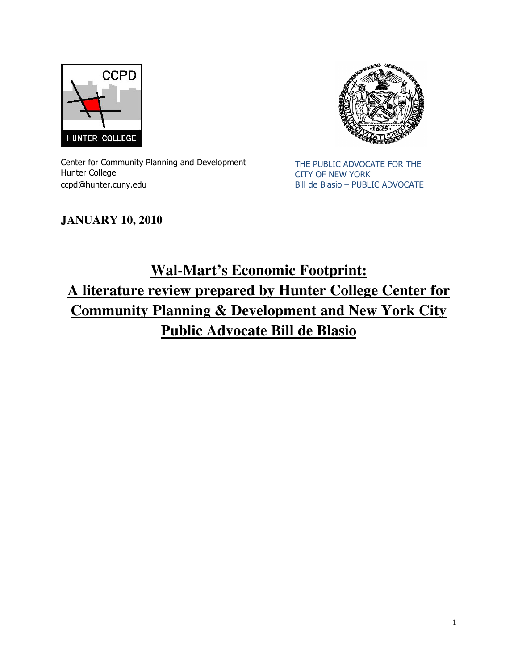



Center for Community Planning and Development Hunter College ccpd@hunter.cuny.edu

THE PUBLIC ADVOCATE FOR THE CITY OF NEW YORK Bill de Blasio – PUBLIC ADVOCATE

# **JANUARY 10, 2010**

# **Wal-Mart's Economic Footprint: A literature review prepared by Hunter College Center for Community Planning & Development and New York City Public Advocate Bill de Blasio**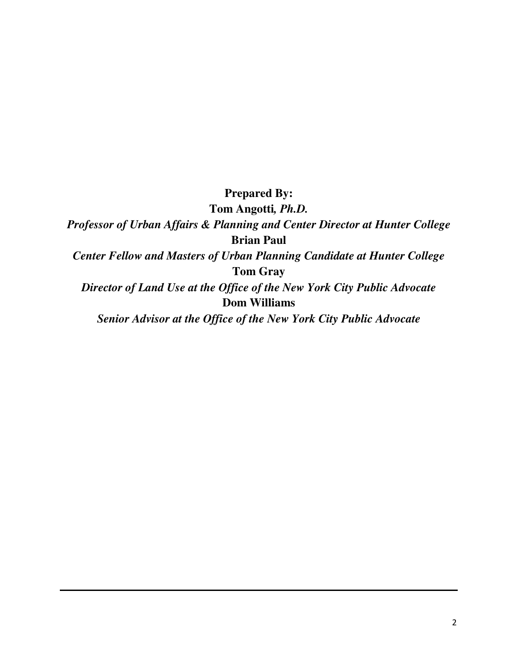**Prepared By:** 

**Tom Angotti***, Ph.D.* 

*Professor of Urban Affairs & Planning and Center Director at Hunter College*  **Brian Paul**

*Center Fellow and Masters of Urban Planning Candidate at Hunter College*  **Tom Gray**

*Director of Land Use at the Office of the New York City Public Advocate*  **Dom Williams**

*Senior Advisor at the Office of the New York City Public Advocate*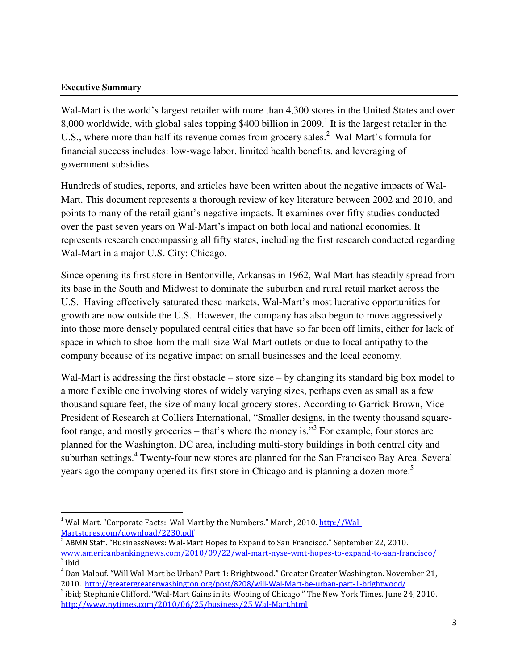#### **Executive Summary**

l

Wal-Mart is the world's largest retailer with more than 4,300 stores in the United States and over 8,000 worldwide, with global sales topping \$400 billion in 2009.<sup>1</sup> It is the largest retailer in the U.S., where more than half its revenue comes from grocery sales.<sup>2</sup> Wal-Mart's formula for financial success includes: low-wage labor, limited health benefits, and leveraging of government subsidies

Hundreds of studies, reports, and articles have been written about the negative impacts of Wal-Mart. This document represents a thorough review of key literature between 2002 and 2010, and points to many of the retail giant's negative impacts. It examines over fifty studies conducted over the past seven years on Wal-Mart's impact on both local and national economies. It represents research encompassing all fifty states, including the first research conducted regarding Wal-Mart in a major U.S. City: Chicago.

Since opening its first store in Bentonville, Arkansas in 1962, Wal-Mart has steadily spread from its base in the South and Midwest to dominate the suburban and rural retail market across the U.S. Having effectively saturated these markets, Wal-Mart's most lucrative opportunities for growth are now outside the U.S.. However, the company has also begun to move aggressively into those more densely populated central cities that have so far been off limits, either for lack of space in which to shoe-horn the mall-size Wal-Mart outlets or due to local antipathy to the company because of its negative impact on small businesses and the local economy.

Wal-Mart is addressing the first obstacle – store size – by changing its standard big box model to a more flexible one involving stores of widely varying sizes, perhaps even as small as a few thousand square feet, the size of many local grocery stores. According to Garrick Brown, Vice President of Research at Colliers International, "Smaller designs, in the twenty thousand squarefoot range, and mostly groceries  $-$  that's where the money is."<sup>3</sup> For example, four stores are planned for the Washington, DC area, including multi-story buildings in both central city and suburban settings.<sup>4</sup> Twenty-four new stores are planned for the San Francisco Bay Area. Several years ago the company opened its first store in Chicago and is planning a dozen more.<sup>5</sup>

<sup>&</sup>lt;sup>1</sup> Wal-Mart. "Corporate Facts: Wal-Mart by the Numbers." March, 2010. http://Wal-Martstores.com/download/2230.pdf

ABMN Staff. "BusinessNews: Wal-Mart Hopes to Expand to San Francisco." September 22, 2010. www.americanbankingnews.com/2010/09/22/wal-mart-nyse-wmt-hopes-to-expand-to-san-francisco/ <sup>3</sup> ibid

<sup>&</sup>lt;sup>4</sup> Dan Malouf. "Will Wal-Mart be Urban? Part 1: Brightwood." Greater Greater Washington. November 21, 2010. http://greatergreaterwashington.org/post/8208/will-Wal-Mart-be-urban-part-1-brightwood/

<sup>&</sup>lt;sup>5</sup> ibid; Stephanie Clifford. "Wal-Mart Gains in its Wooing of Chicago." The New York Times. June 24, 2010. http://www.nytimes.com/2010/06/25/business/25 Wal-Mart.html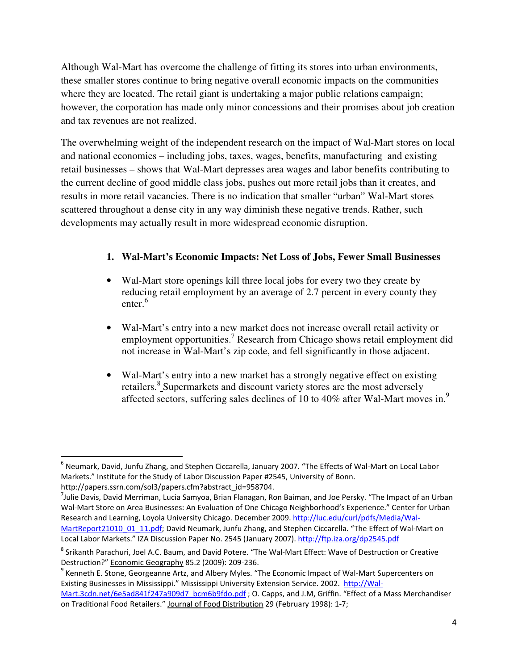Although Wal-Mart has overcome the challenge of fitting its stores into urban environments, these smaller stores continue to bring negative overall economic impacts on the communities where they are located. The retail giant is undertaking a major public relations campaign; however, the corporation has made only minor concessions and their promises about job creation and tax revenues are not realized.

The overwhelming weight of the independent research on the impact of Wal-Mart stores on local and national economies – including jobs, taxes, wages, benefits, manufacturing and existing retail businesses – shows that Wal-Mart depresses area wages and labor benefits contributing to the current decline of good middle class jobs, pushes out more retail jobs than it creates, and results in more retail vacancies. There is no indication that smaller "urban" Wal-Mart stores scattered throughout a dense city in any way diminish these negative trends. Rather, such developments may actually result in more widespread economic disruption.

### **1. Wal-Mart's Economic Impacts: Net Loss of Jobs, Fewer Small Businesses**

- Wal-Mart store openings kill three local jobs for every two they create by reducing retail employment by an average of 2.7 percent in every county they enter.<sup>6</sup>
- Wal-Mart's entry into a new market does not increase overall retail activity or employment opportunities.<sup>7</sup> Research from Chicago shows retail employment did not increase in Wal-Mart's zip code, and fell significantly in those adjacent.
- Wal-Mart's entry into a new market has a strongly negative effect on existing retailers.<sup>8</sup> Supermarkets and discount variety stores are the most adversely affected sectors, suffering sales declines of 10 to 40% after Wal-Mart moves in.<sup>9</sup>

<sup>&</sup>lt;sup>6</sup> Neumark, David, Junfu Zhang, and Stephen Ciccarella, January 2007. "The Effects of Wal-Mart on Local Labor Markets." Institute for the Study of Labor Discussion Paper #2545, University of Bonn.

http://papers.ssrn.com/sol3/papers.cfm?abstract\_id=958704.

<sup>&</sup>lt;sup>7</sup>Julie Davis, David Merriman, Lucia Samyoa, Brian Flanagan, Ron Baiman, and Joe Persky. "The Impact of an Urban Wal-Mart Store on Area Businesses: An Evaluation of One Chicago Neighborhood's Experience." Center for Urban Research and Learning, Loyola University Chicago. December 2009. http://luc.edu/curl/pdfs/Media/Wal-MartReport21010\_01\_11.pdf; David Neumark, Junfu Zhang, and Stephen Ciccarella. "The Effect of Wal-Mart on Local Labor Markets." IZA Discussion Paper No. 2545 (January 2007). http://ftp.iza.org/dp2545.pdf

<sup>&</sup>lt;sup>8</sup> Srikanth Parachuri, Joel A.C. Baum, and David Potere. "The Wal-Mart Effect: Wave of Destruction or Creative Destruction?" Economic Geography 85.2 (2009): 209-236.

<sup>&</sup>lt;sup>9</sup> Kenneth E. Stone, Georgeanne Artz, and Albery Myles. "The Economic Impact of Wal-Mart Supercenters on Existing Businesses in Mississippi." Mississippi University Extension Service. 2002. http://Wal-Mart.3cdn.net/6e5ad841f247a909d7\_bcm6b9fdo.pdf ; O. Capps, and J.M, Griffin. "Effect of a Mass Merchandiser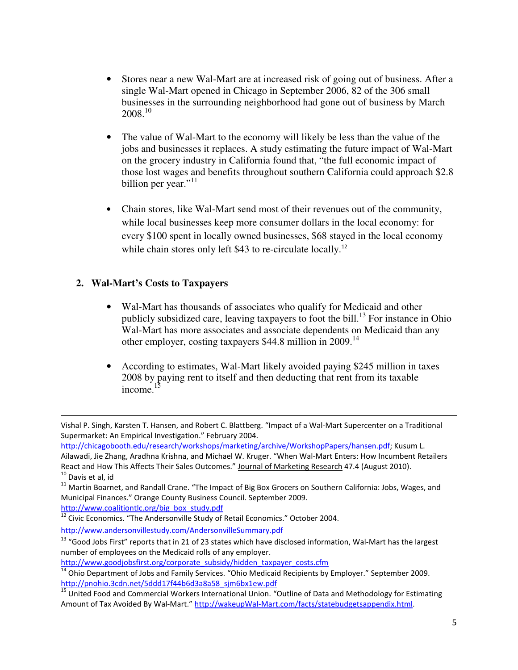- Stores near a new Wal-Mart are at increased risk of going out of business. After a single Wal-Mart opened in Chicago in September 2006, 82 of the 306 small businesses in the surrounding neighborhood had gone out of business by March 2008.<sup>10</sup>
- The value of Wal-Mart to the economy will likely be less than the value of the jobs and businesses it replaces. A study estimating the future impact of Wal-Mart on the grocery industry in California found that, "the full economic impact of those lost wages and benefits throughout southern California could approach \$2.8 billion per year."<sup>11</sup>
- Chain stores, like Wal-Mart send most of their revenues out of the community, while local businesses keep more consumer dollars in the local economy: for every \$100 spent in locally owned businesses, \$68 stayed in the local economy while chain stores only left \$43 to re-circulate locally.<sup>12</sup>

### **2. Wal-Mart's Costs to Taxpayers**

- Wal-Mart has thousands of associates who qualify for Medicaid and other publicly subsidized care, leaving taxpayers to foot the bill.<sup>13</sup> For instance in Ohio Wal-Mart has more associates and associate dependents on Medicaid than any other employer, costing taxpayers \$44.8 million in 2009.<sup>14</sup>
- According to estimates, Wal-Mart likely avoided paying \$245 million in taxes 2008 by paying rent to itself and then deducting that rent from its taxable income. $^{15}$

http://www.coalitiontlc.org/big\_box\_study.pdf

l

<sup>13</sup> "Good Jobs First" reports that in 21 of 23 states which have disclosed information, Wal-Mart has the largest number of employees on the Medicaid rolls of any employer.

Vishal P. Singh, Karsten T. Hansen, and Robert C. Blattberg. "Impact of a Wal-Mart Supercenter on a Traditional Supermarket: An Empirical Investigation." February 2004.

http://chicagobooth.edu/research/workshops/marketing/archive/WorkshopPapers/hansen.pdf; Kusum L.

Ailawadi, Jie Zhang, Aradhna Krishna, and Michael W. Kruger. "When Wal-Mart Enters: How Incumbent Retailers React and How This Affects Their Sales Outcomes." Journal of Marketing Research 47.4 (August 2010). <sup>10</sup> Davis et al, id

<sup>&</sup>lt;sup>11</sup> Martin Boarnet, and Randall Crane. "The Impact of Big Box Grocers on Southern California: Jobs, Wages, and Municipal Finances." Orange County Business Council. September 2009.

 $\frac{12}{12}$  Civic Economics. "The Andersonville Study of Retail Economics." October 2004.

http://www.andersonvillestudy.com/AndersonvilleSummary.pdf

http://www.goodjobsfirst.org/corporate\_subsidy/hidden\_taxpayer\_costs.cfm

 $\frac{14}{14}$  Ohio Department of Jobs and Family Services. "Ohio Medicaid Recipients by Employer." September 2009. http://pnohio.3cdn.net/5ddd17f44b6d3a8a58\_sjm6bx1ew.pdf

<sup>16 11</sup> United Food and Commercial Workers International Union. "Outline of Data and Methodology for Estimating Amount of Tax Avoided By Wal-Mart." http://wakeupWal-Mart.com/facts/statebudgetsappendix.html.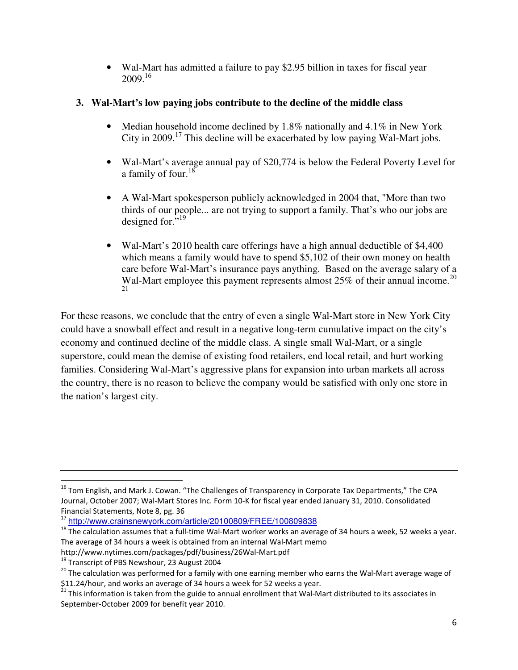• Wal-Mart has admitted a failure to pay \$2.95 billion in taxes for fiscal year  $2009.<sup>16</sup>$ 

## **3. Wal-Mart's low paying jobs contribute to the decline of the middle class**

- Median household income declined by 1.8% nationally and 4.1% in New York City in 2009.<sup>17</sup> This decline will be exacerbated by low paying Wal-Mart jobs.
- Wal-Mart's average annual pay of \$20,774 is below the Federal Poverty Level for a family of four.<sup>18</sup>
- A Wal-Mart spokesperson publicly acknowledged in 2004 that, "More than two thirds of our people... are not trying to support a family. That's who our jobs are designed for."<sup>19</sup>
- Wal-Mart's 2010 health care offerings have a high annual deductible of \$4,400 which means a family would have to spend \$5,102 of their own money on health care before Wal-Mart's insurance pays anything. Based on the average salary of a Wal-Mart employee this payment represents almost  $25\%$  of their annual income.<sup>20</sup> 21

For these reasons, we conclude that the entry of even a single Wal-Mart store in New York City could have a snowball effect and result in a negative long-term cumulative impact on the city's economy and continued decline of the middle class. A single small Wal-Mart, or a single superstore, could mean the demise of existing food retailers, end local retail, and hurt working families. Considering Wal-Mart's aggressive plans for expansion into urban markets all across the country, there is no reason to believe the company would be satisfied with only one store in the nation's largest city.

<sup>&</sup>lt;sup>16</sup> Tom English, and Mark J. Cowan. "The Challenges of Transparency in Corporate Tax Departments," The CPA Journal, October 2007; Wal-Mart Stores Inc. Form 10-K for fiscal year ended January 31, 2010. Consolidated Financial Statements, Note 8, pg. 36

<sup>17</sup> http://www.crainsnewyork.com/article/20100809/FREE/100809838

 $18$  The calculation assumes that a full-time Wal-Mart worker works an average of 34 hours a week, 52 weeks a year. The average of 34 hours a week is obtained from an internal Wal-Mart memo

http://www.nytimes.com/packages/pdf/business/26Wal-Mart.pdf

<sup>&</sup>lt;sup>19</sup> Transcript of PBS Newshour, 23 August 2004

<sup>&</sup>lt;sup>20</sup> The calculation was performed for a family with one earning member who earns the Wal-Mart average wage of \$11.24/hour, and works an average of 34 hours a week for 52 weeks a year.

 $^{21}$  This information is taken from the guide to annual enrollment that Wal-Mart distributed to its associates in September-October 2009 for benefit year 2010.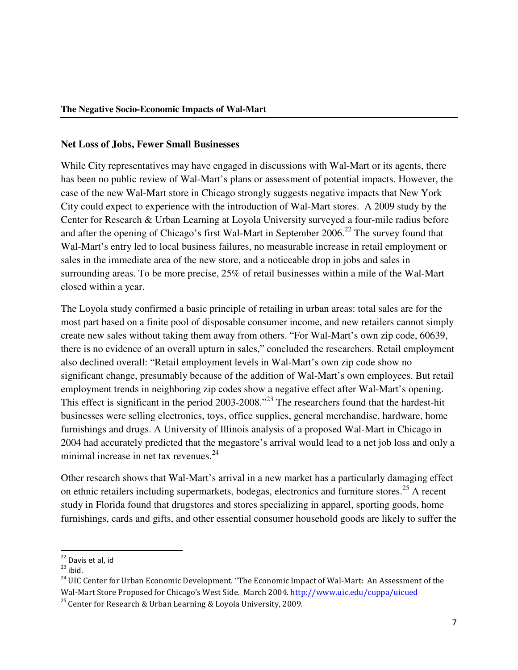#### **Net Loss of Jobs, Fewer Small Businesses**

While City representatives may have engaged in discussions with Wal-Mart or its agents, there has been no public review of Wal-Mart's plans or assessment of potential impacts. However, the case of the new Wal-Mart store in Chicago strongly suggests negative impacts that New York City could expect to experience with the introduction of Wal-Mart stores. A 2009 study by the Center for Research & Urban Learning at Loyola University surveyed a four-mile radius before and after the opening of Chicago's first Wal-Mart in September  $2006<sup>22</sup>$ . The survey found that Wal-Mart's entry led to local business failures, no measurable increase in retail employment or sales in the immediate area of the new store, and a noticeable drop in jobs and sales in surrounding areas. To be more precise, 25% of retail businesses within a mile of the Wal-Mart closed within a year.

The Loyola study confirmed a basic principle of retailing in urban areas: total sales are for the most part based on a finite pool of disposable consumer income, and new retailers cannot simply create new sales without taking them away from others. "For Wal-Mart's own zip code, 60639, there is no evidence of an overall upturn in sales," concluded the researchers. Retail employment also declined overall: "Retail employment levels in Wal-Mart's own zip code show no significant change, presumably because of the addition of Wal-Mart's own employees. But retail employment trends in neighboring zip codes show a negative effect after Wal-Mart's opening. This effect is significant in the period 2003-2008.<sup>"23</sup> The researchers found that the hardest-hit businesses were selling electronics, toys, office supplies, general merchandise, hardware, home furnishings and drugs. A University of Illinois analysis of a proposed Wal-Mart in Chicago in 2004 had accurately predicted that the megastore's arrival would lead to a net job loss and only a minimal increase in net tax revenues. $24$ 

Other research shows that Wal-Mart's arrival in a new market has a particularly damaging effect on ethnic retailers including supermarkets, bodegas, electronics and furniture stores.<sup>25</sup> A recent study in Florida found that drugstores and stores specializing in apparel, sporting goods, home furnishings, cards and gifts, and other essential consumer household goods are likely to suffer the

<sup>&</sup>lt;sup>22</sup> Davis et al, id

 $23$  ibid.

<sup>&</sup>lt;sup>24</sup> UIC Center for Urban Economic Development. "The Economic Impact of Wal-Mart: An Assessment of the Wal-Mart Store Proposed for Chicago's West Side. March 2004. http://www.uic.edu/cuppa/uicued

<sup>&</sup>lt;sup>25</sup> Center for Research & Urban Learning & Loyola University, 2009.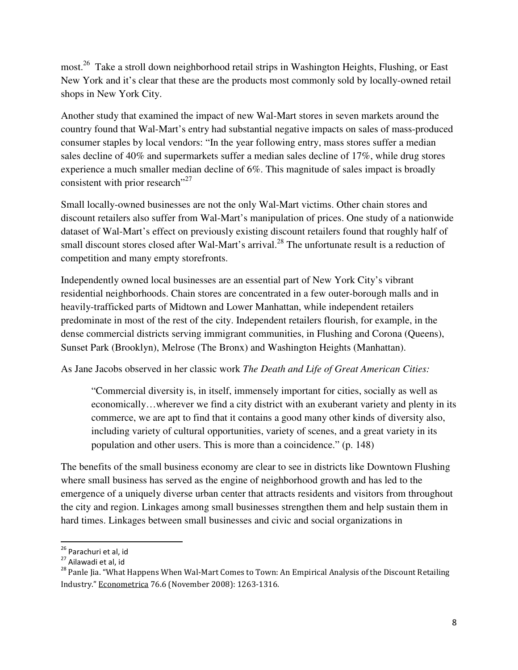most.<sup>26</sup> Take a stroll down neighborhood retail strips in Washington Heights, Flushing, or East New York and it's clear that these are the products most commonly sold by locally-owned retail shops in New York City.

Another study that examined the impact of new Wal-Mart stores in seven markets around the country found that Wal-Mart's entry had substantial negative impacts on sales of mass-produced consumer staples by local vendors: "In the year following entry, mass stores suffer a median sales decline of 40% and supermarkets suffer a median sales decline of 17%, while drug stores experience a much smaller median decline of 6%. This magnitude of sales impact is broadly consistent with prior research"<sup>27</sup>

Small locally-owned businesses are not the only Wal-Mart victims. Other chain stores and discount retailers also suffer from Wal-Mart's manipulation of prices. One study of a nationwide dataset of Wal-Mart's effect on previously existing discount retailers found that roughly half of small discount stores closed after Wal-Mart's arrival.<sup>28</sup> The unfortunate result is a reduction of competition and many empty storefronts.

Independently owned local businesses are an essential part of New York City's vibrant residential neighborhoods. Chain stores are concentrated in a few outer-borough malls and in heavily-trafficked parts of Midtown and Lower Manhattan, while independent retailers predominate in most of the rest of the city. Independent retailers flourish, for example, in the dense commercial districts serving immigrant communities, in Flushing and Corona (Queens), Sunset Park (Brooklyn), Melrose (The Bronx) and Washington Heights (Manhattan).

As Jane Jacobs observed in her classic work *The Death and Life of Great American Cities:* 

"Commercial diversity is, in itself, immensely important for cities, socially as well as economically…wherever we find a city district with an exuberant variety and plenty in its commerce, we are apt to find that it contains a good many other kinds of diversity also, including variety of cultural opportunities, variety of scenes, and a great variety in its population and other users. This is more than a coincidence." (p. 148)

The benefits of the small business economy are clear to see in districts like Downtown Flushing where small business has served as the engine of neighborhood growth and has led to the emergence of a uniquely diverse urban center that attracts residents and visitors from throughout the city and region. Linkages among small businesses strengthen them and help sustain them in hard times. Linkages between small businesses and civic and social organizations in

<sup>&</sup>lt;sup>26</sup> Parachuri et al, id

<sup>27</sup> Ailawadi et al, id

<sup>&</sup>lt;sup>28</sup> Panle Jia. "What Happens When Wal-Mart Comes to Town: An Empirical Analysis of the Discount Retailing Industry." Econometrica 76.6 (November 2008): 1263-1316.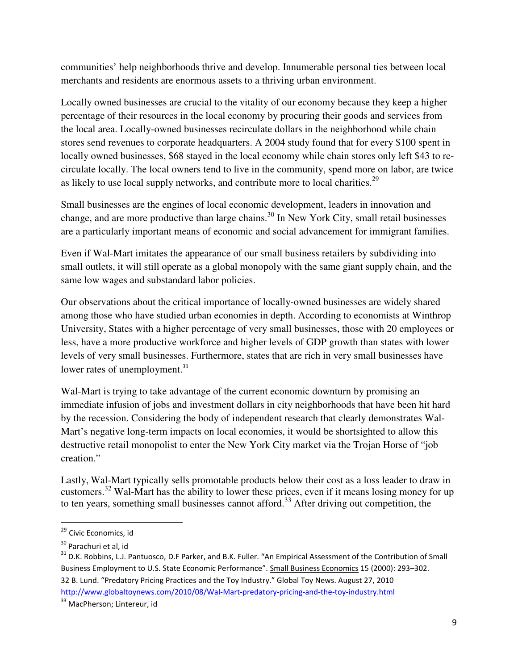communities' help neighborhoods thrive and develop. Innumerable personal ties between local merchants and residents are enormous assets to a thriving urban environment.

Locally owned businesses are crucial to the vitality of our economy because they keep a higher percentage of their resources in the local economy by procuring their goods and services from the local area. Locally-owned businesses recirculate dollars in the neighborhood while chain stores send revenues to corporate headquarters. A 2004 study found that for every \$100 spent in locally owned businesses, \$68 stayed in the local economy while chain stores only left \$43 to recirculate locally. The local owners tend to live in the community, spend more on labor, are twice as likely to use local supply networks, and contribute more to local charities.<sup>29</sup>

Small businesses are the engines of local economic development, leaders in innovation and change, and are more productive than large chains.<sup>30</sup> In New York City, small retail businesses are a particularly important means of economic and social advancement for immigrant families.

Even if Wal-Mart imitates the appearance of our small business retailers by subdividing into small outlets, it will still operate as a global monopoly with the same giant supply chain, and the same low wages and substandard labor policies.

Our observations about the critical importance of locally-owned businesses are widely shared among those who have studied urban economies in depth. According to economists at Winthrop University, States with a higher percentage of very small businesses, those with 20 employees or less, have a more productive workforce and higher levels of GDP growth than states with lower levels of very small businesses. Furthermore, states that are rich in very small businesses have lower rates of unemployment.<sup>31</sup>

Wal-Mart is trying to take advantage of the current economic downturn by promising an immediate infusion of jobs and investment dollars in city neighborhoods that have been hit hard by the recession. Considering the body of independent research that clearly demonstrates Wal-Mart's negative long-term impacts on local economies, it would be shortsighted to allow this destructive retail monopolist to enter the New York City market via the Trojan Horse of "job creation."

Lastly, Wal-Mart typically sells promotable products below their cost as a loss leader to draw in customers.<sup>32</sup> Wal-Mart has the ability to lower these prices, even if it means losing money for up to ten years, something small businesses cannot afford.<sup>33</sup> After driving out competition, the

<sup>&</sup>lt;sup>29</sup> Civic Economics, id

<sup>30</sup> Parachuri et al, id

<sup>&</sup>lt;sup>31</sup> D.K. Robbins, L.J. Pantuosco, D.F Parker, and B.K. Fuller. "An Empirical Assessment of the Contribution of Small Business Employment to U.S. State Economic Performance". Small Business Economics 15 (2000): 293–302. 32 B. Lund. "Predatory Pricing Practices and the Toy Industry." Global Toy News. August 27, 2010 http://www.globaltoynews.com/2010/08/Wal-Mart-predatory-pricing-and-the-toy-industry.html

<sup>&</sup>lt;sup>33</sup> MacPherson; Lintereur, id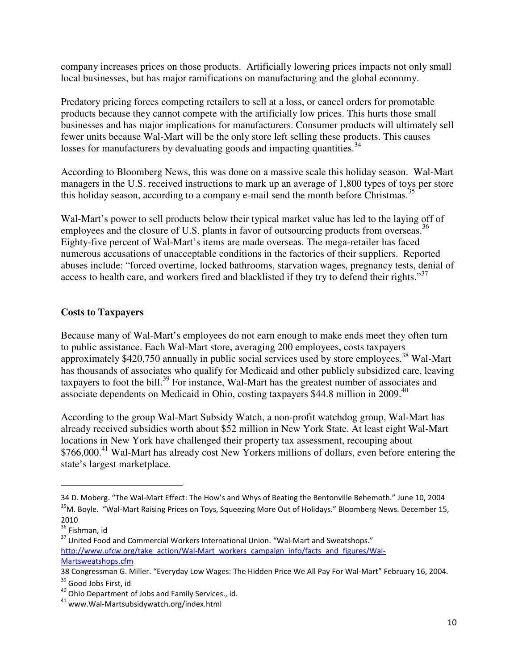company increases prices on those products. Artificially lowering prices impacts not only small local businesses, but has major ramifications on manufacturing and the global economy.

Predatory pricing forces competing retailers to sell at a loss, or cancel orders for promotable products because they cannot compete with the artificially low prices. This hurts those small businesses and has major implications for manufacturers. Consumer products will ultimately sell fewer units because Wal-Mart will be the only store left selling these products. This causes losses for manufacturers by devaluating goods and impacting quantities.<sup>34</sup>

According to Bloomberg News, this was done on a massive scale this holiday season. Wal-Mart managers in the U.S. received instructions to mark up an average of 1,800 types of toys per store this holiday season, according to a company e-mail send the month before Christmas.<sup>3</sup>

Wal-Mart's power to sell products below their typical market value has led to the laying off of employees and the closure of U.S. plants in favor of outsourcing products from overseas.<sup>36</sup> Eighty-five percent of Wal-Mart's items are made overseas. The mega-retailer has faced numerous accusations of unacceptable conditions in the factories of their suppliers. Reported abuses include: "forced overtime, locked bathrooms, starvation wages, pregnancy tests, denial of access to health care, and workers fired and blacklisted if they try to defend their rights."<sup>37</sup>

### **Costs to Taxpayers**

Because many of Wal-Mart's employees do not earn enough to make ends meet they often turn to public assistance. Each Wal-Mart store, averaging 200 employees, costs taxpayers approximately  $$420,750$  annually in public social services used by store employees.<sup>38</sup> Wal-Mart has thousands of associates who qualify for Medicaid and other publicly subsidized care, leaving taxpayers to foot the bill.<sup>39</sup> For instance, Wal-Mart has the greatest number of associates and associate dependents on Medicaid in Ohio, costing taxpayers \$44.8 million in 2009.<sup>40</sup>

According to the group Wal-Mart Subsidy Watch, a non-profit watchdog group, Wal-Mart has already received subsidies worth about \$52 million in New York State. At least eight Wal-Mart locations in New York have challenged their property tax assessment, recouping about \$766,000.<sup>41</sup> Wal-Mart has already cost New Yorkers millions of dollars, even before entering the state's largest marketplace.

<sup>34</sup> D. Moberg. "The Wal-Mart Effect: The How's and Whys of Beating the Bentonville Behemoth." June 10, 2004 <sup>35</sup>M. Boyle. "Wal-Mart Raising Prices on Toys, Squeezing More Out of Holidays." Bloomberg News. December 15, 2010

<sup>&</sup>lt;sup>36</sup> Fishman, id

<sup>&</sup>lt;sup>37</sup> United Food and Commercial Workers International Union. "Wal-Mart and Sweatshops." http://www.ufcw.org/take\_action/Wal-Mart\_workers\_campaign\_info/facts\_and\_figures/Wal-Martsweatshops.cfm

<sup>38</sup> Congressman G. Miller. "Everyday Low Wages: The Hidden Price We All Pay For Wal-Mart" February 16, 2004.

<sup>&</sup>lt;sup>39</sup> Good Jobs First, id

<sup>&</sup>lt;sup>40</sup> Ohio Department of Jobs and Family Services., id.

<sup>41</sup> www.Wal-Martsubsidywatch.org/index.html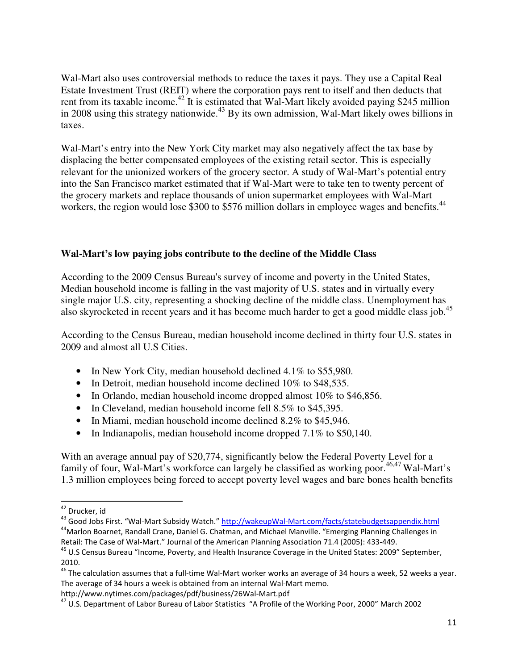Wal-Mart also uses controversial methods to reduce the taxes it pays. They use a Capital Real Estate Investment Trust (REIT) where the corporation pays rent to itself and then deducts that rent from its taxable income.<sup>42</sup> It is estimated that Wal-Mart likely avoided paying \$245 million in 2008 using this strategy nationwide.<sup>43</sup> By its own admission, Wal-Mart likely owes billions in taxes.

Wal-Mart's entry into the New York City market may also negatively affect the tax base by displacing the better compensated employees of the existing retail sector. This is especially relevant for the unionized workers of the grocery sector. A study of Wal-Mart's potential entry into the San Francisco market estimated that if Wal-Mart were to take ten to twenty percent of the grocery markets and replace thousands of union supermarket employees with Wal-Mart workers, the region would lose \$300 to \$576 million dollars in employee wages and benefits.<sup>44</sup>

### **Wal-Mart's low paying jobs contribute to the decline of the Middle Class**

According to the 2009 Census Bureau's survey of income and poverty in the United States, Median household income is falling in the vast majority of U.S. states and in virtually every single major U.S. city, representing a shocking decline of the middle class. Unemployment has also skyrocketed in recent years and it has become much harder to get a good middle class job.<sup>45</sup>

According to the Census Bureau, median household income declined in thirty four U.S. states in 2009 and almost all U.S Cities.

- In New York City, median household declined 4.1% to \$55,980.
- In Detroit, median household income declined 10% to \$48,535.
- In Orlando, median household income dropped almost 10% to \$46,856.
- In Cleveland, median household income fell 8.5% to \$45,395.
- In Miami, median household income declined 8.2% to \$45,946.
- In Indianapolis, median household income dropped 7.1% to \$50,140.

With an average annual pay of \$20,774, significantly below the Federal Poverty Level for a family of four, Wal-Mart's workforce can largely be classified as working poor.<sup>46,47</sup> Wal-Mart's 1.3 million employees being forced to accept poverty level wages and bare bones health benefits

<sup>&</sup>lt;sup>42</sup> Drucker, id

<sup>&</sup>lt;sup>43</sup> Good Jobs First. "Wal-Mart Subsidy Watch." http://wakeupWal-Mart.com/facts/statebudgetsappendix.html <sup>44</sup>Marlon Boarnet, Randall Crane, Daniel G. Chatman, and Michael Manville. "Emerging Planning Challenges in

Retail: The Case of Wal-Mart." Journal of the American Planning Association 71.4 (2005): 433-449.

<sup>45</sup> U.S Census Bureau "Income, Poverty, and Health Insurance Coverage in the United States: 2009" September, 2010.

 $46$  The calculation assumes that a full-time Wal-Mart worker works an average of 34 hours a week, 52 weeks a year. The average of 34 hours a week is obtained from an internal Wal-Mart memo.

http://www.nytimes.com/packages/pdf/business/26Wal-Mart.pdf

<sup>&</sup>lt;sup>47</sup> U.S. Department of Labor Bureau of Labor Statistics "A Profile of the Working Poor, 2000" March 2002